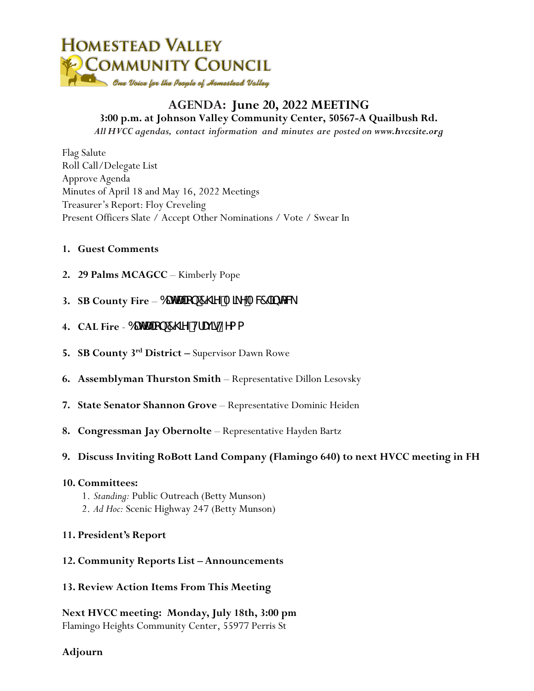

### **AGENDA: June 20, 2022 MEETING 3:00 p.m. at Johnson Valley Community Center, 50567-A Quailbush Rd.**

*All HVCC agendas, contact information and minutes are posted on www.hvccsite.org*

Flag Salute Roll Call/Delegate List Approve Agenda Minutes of April 18 and May 16, 2022 Meetings Treasurer's Report: Floy Creveling Present Officers Slate / Accept Other Nominations / Vote / Swear In

#### **1. Guest Comments**

- **2. 29 Palms MCAGCC**  Kimberly Pope
- **3. SB County Fire 6UHUCD 7\JYA LYAW JblcV**
- **4. CAL Fire** 6UHU]cb<sup>7</sup>\JYZHUJ]g@Yaa
- **5. SB County 3rd District –** Supervisor Dawn Rowe
- **6. Assemblyman Thurston Smith** Representative Dillon Lesovsky
- **7. State Senator Shannon Grove** Representative Dominic Heiden
- 8. **Congressman Jay Obernolte** Representative Hayden Bartz
- **9. Discuss Inviting RoBott Land Company (Flamingo 640) to next HVCC meeting in FH**

#### **10. Committees:**

- 1. *Standing:* Public Outreach (Betty Munson)
- 2. *Ad Hoc:* Scenic Highway 247 (Betty Munson)

#### **11. President's Report**

- **12. Community Reports List – Announcements**
- **13. Review Action Items From This Meeting**

**Next HVCC meeting: Monday, July 18th, 3:00 pm** Flamingo Heights Community Center, 55977 Perris St

**Adjourn**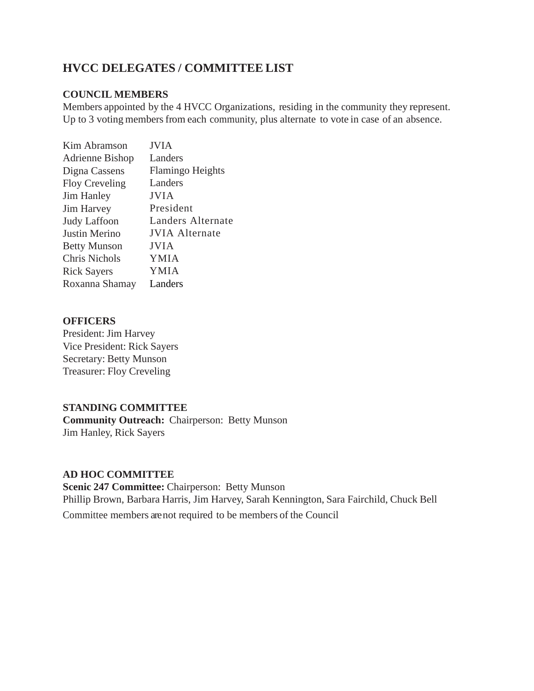### **HVCC DELEGATES / COMMITTEE LIST**

#### **COUNCIL MEMBERS**

Members appointed by the 4 HVCC Organizations, residing in the community they represent. Up to 3 voting members from each community, plus alternate to vote in case of an absence.

| <b>JVIA</b>             |
|-------------------------|
| Landers                 |
| <b>Flamingo Heights</b> |
| Landers                 |
| JVIA                    |
| President               |
| Landers Alternate       |
| <b>JVIA Alternate</b>   |
| <b>JVIA</b>             |
| YMIA                    |
| YMIA                    |
| Landers                 |
|                         |

#### **OFFICERS**

President: Jim Harvey Vice President: Rick Sayers Secretary: Betty Munson Treasurer: Floy Creveling

#### **STANDING COMMITTEE**

**Community Outreach:** Chairperson: Betty Munson Jim Hanley, Rick Sayers

#### **AD HOC COMMITTEE**

**Scenic 247 Committee:** Chairperson: Betty Munson Phillip Brown, Barbara Harris, Jim Harvey, Sarah Kennington, Sara Fairchild, Chuck Bell Committee members are not required to be members of the Council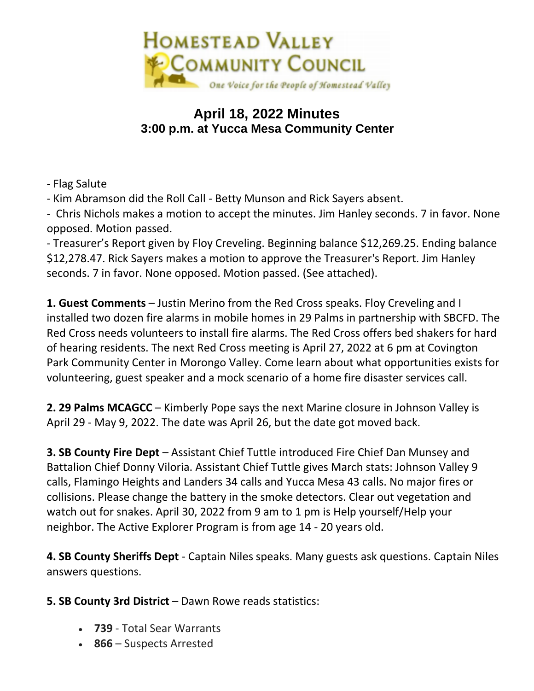

# **April 18, 2022 Minutes 3:00 p.m. at Yucca Mesa Community Center**

- Flag Salute

- Kim Abramson did the Roll Call - Betty Munson and Rick Sayers absent.

- Chris Nichols makes a motion to accept the minutes. Jim Hanley seconds. 7 in favor. None opposed. Motion passed.

- Treasurer's Report given by Floy Creveling. Beginning balance \$12,269.25. Ending balance \$12,278.47. Rick Sayers makes a motion to approve the Treasurer's Report. Jim Hanley seconds. 7 in favor. None opposed. Motion passed. (See attached).

**1. Guest Comments** – Justin Merino from the Red Cross speaks. Floy Creveling and I installed two dozen fire alarms in mobile homes in 29 Palms in partnership with SBCFD. The Red Cross needs volunteers to install fire alarms. The Red Cross offers bed shakers for hard of hearing residents. The next Red Cross meeting is April 27, 2022 at 6 pm at Covington Park Community Center in Morongo Valley. Come learn about what opportunities exists for volunteering, guest speaker and a mock scenario of a home fire disaster services call.

**2. 29 Palms MCAGCC** – Kimberly Pope says the next Marine closure in Johnson Valley is April 29 - May 9, 2022. The date was April 26, but the date got moved back.

**3. SB County Fire Dept** – Assistant Chief Tuttle introduced Fire Chief Dan Munsey and Battalion Chief Donny Viloria. Assistant Chief Tuttle gives March stats: Johnson Valley 9 calls, Flamingo Heights and Landers 34 calls and Yucca Mesa 43 calls. No major fires or collisions. Please change the battery in the smoke detectors. Clear out vegetation and watch out for snakes. April 30, 2022 from 9 am to 1 pm is Help yourself/Help your neighbor. The Active Explorer Program is from age 14 - 20 years old.

**4. SB County Sheriffs Dept** - Captain Niles speaks. Many guests ask questions. Captain Niles answers questions.

### **5. SB County 3rd District** – Dawn Rowe reads statistics:

- **739** Total Sear Warrants
- **866** Suspects Arrested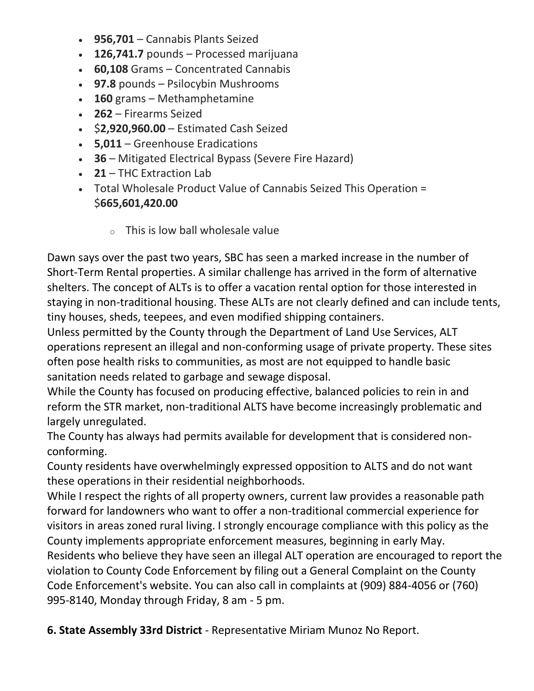- **956,701** Cannabis Plants Seized
- **126,741.7** pounds Processed marijuana
- **60,108** Grams Concentrated Cannabis
- **97.8** pounds Psilocybin Mushrooms
- **160** grams Methamphetamine
- **262** Firearms Seized
- \$**2,920,960.00** Estimated Cash Seized
- **5,011** Greenhouse Eradications
- **36** Mitigated Electrical Bypass (Severe Fire Hazard)
- **21** THC Extraction Lab
- Total Wholesale Product Value of Cannabis Seized This Operation = \$**665,601,420.00**
	- $\circ$  This is low ball wholesale value

Dawn says over the past two years, SBC has seen a marked increase in the number of Short-Term Rental properties. A similar challenge has arrived in the form of alternative shelters. The concept of ALTs is to offer a vacation rental option for those interested in staying in non-traditional housing. These ALTs are not clearly defined and can include tents, tiny houses, sheds, teepees, and even modified shipping containers.

Unless permitted by the County through the Department of Land Use Services, ALT operations represent an illegal and non-conforming usage of private property. These sites often pose health risks to communities, as most are not equipped to handle basic sanitation needs related to garbage and sewage disposal.

While the County has focused on producing effective, balanced policies to rein in and reform the STR market, non-traditional ALTS have become increasingly problematic and largely unregulated.

The County has always had permits available for development that is considered nonconforming.

County residents have overwhelmingly expressed opposition to ALTS and do not want these operations in their residential neighborhoods.

While I respect the rights of all property owners, current law provides a reasonable path forward for landowners who want to offer a non-traditional commercial experience for visitors in areas zoned rural living. I strongly encourage compliance with this policy as the County implements appropriate enforcement measures, beginning in early May.

Residents who believe they have seen an illegal ALT operation are encouraged to report the violation to County Code Enforcement by filing out a General Complaint on the County Code Enforcement's website. You can also call in complaints at (909) 884-4056 or (760) 995-8140, Monday through Friday, 8 am - 5 pm.

**6. State Assembly 33rd District** - Representative Miriam Munoz No Report.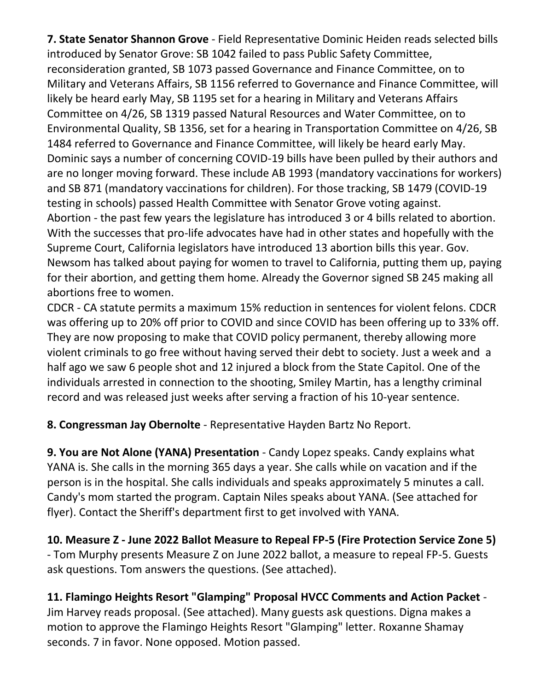**7. State Senator Shannon Grove** - Field Representative Dominic Heiden reads selected bills introduced by Senator Grove: SB 1042 failed to pass Public Safety Committee, reconsideration granted, SB 1073 passed Governance and Finance Committee, on to Military and Veterans Affairs, SB 1156 referred to Governance and Finance Committee, will likely be heard early May, SB 1195 set for a hearing in Military and Veterans Affairs Committee on 4/26, SB 1319 passed Natural Resources and Water Committee, on to Environmental Quality, SB 1356, set for a hearing in Transportation Committee on 4/26, SB 1484 referred to Governance and Finance Committee, will likely be heard early May. Dominic says a number of concerning COVID-19 bills have been pulled by their authors and are no longer moving forward. These include AB 1993 (mandatory vaccinations for workers) and SB 871 (mandatory vaccinations for children). For those tracking, SB 1479 (COVID-19 testing in schools) passed Health Committee with Senator Grove voting against. Abortion - the past few years the legislature has introduced 3 or 4 bills related to abortion. With the successes that pro-life advocates have had in other states and hopefully with the Supreme Court, California legislators have introduced 13 abortion bills this year. Gov. Newsom has talked about paying for women to travel to California, putting them up, paying for their abortion, and getting them home. Already the Governor signed SB 245 making all abortions free to women.

CDCR - CA statute permits a maximum 15% reduction in sentences for violent felons. CDCR was offering up to 20% off prior to COVID and since COVID has been offering up to 33% off. They are now proposing to make that COVID policy permanent, thereby allowing more violent criminals to go free without having served their debt to society. Just a week and a half ago we saw 6 people shot and 12 injured a block from the State Capitol. One of the individuals arrested in connection to the shooting, Smiley Martin, has a lengthy criminal record and was released just weeks after serving a fraction of his 10-year sentence.

**8. Congressman Jay Obernolte** - Representative Hayden Bartz No Report.

**9. You are Not Alone (YANA) Presentation** - Candy Lopez speaks. Candy explains what YANA is. She calls in the morning 365 days a year. She calls while on vacation and if the person is in the hospital. She calls individuals and speaks approximately 5 minutes a call. Candy's mom started the program. Captain Niles speaks about YANA. (See attached for flyer). Contact the Sheriff's department first to get involved with YANA.

**10. Measure Z - June 2022 Ballot Measure to Repeal FP-5 (Fire Protection Service Zone 5)** - Tom Murphy presents Measure Z on June 2022 ballot, a measure to repeal FP-5. Guests ask questions. Tom answers the questions. (See attached).

**11. Flamingo Heights Resort "Glamping" Proposal HVCC Comments and Action Packet** - Jim Harvey reads proposal. (See attached). Many guests ask questions. Digna makes a motion to approve the Flamingo Heights Resort "Glamping" letter. Roxanne Shamay seconds. 7 in favor. None opposed. Motion passed.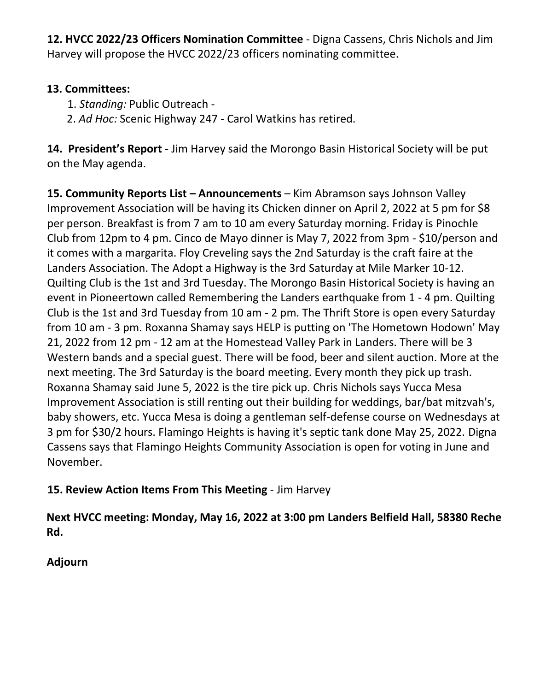**12. HVCC 2022/23 Officers Nomination Committee** - Digna Cassens, Chris Nichols and Jim Harvey will propose the HVCC 2022/23 officers nominating committee.

### **13. Committees:**

- 1. *Standing:* Public Outreach -
- 2. *Ad Hoc:* Scenic Highway 247 Carol Watkins has retired.

**14. President's Report** - Jim Harvey said the Morongo Basin Historical Society will be put on the May agenda.

15. Community Reports List – Announcements – Kim Abramson says Johnson Valley Improvement Association will be having its Chicken dinner on April 2, 2022 at 5 pm for \$8 per person. Breakfast is from 7 am to 10 am every Saturday morning. Friday is Pinochle Club from 12pm to 4 pm. Cinco de Mayo dinner is May 7, 2022 from 3pm - \$10/person and it comes with a margarita. Floy Creveling says the 2nd Saturday is the craft faire at the Landers Association. The Adopt a Highway is the 3rd Saturday at Mile Marker 10-12. Quilting Club is the 1st and 3rd Tuesday. The Morongo Basin Historical Society is having an event in Pioneertown called Remembering the Landers earthquake from 1 - 4 pm. Quilting Club is the 1st and 3rd Tuesday from 10 am - 2 pm. The Thrift Store is open every Saturday from 10 am - 3 pm. Roxanna Shamay says HELP is putting on 'The Hometown Hodown' May 21, 2022 from 12 pm - 12 am at the Homestead Valley Park in Landers. There will be 3 Western bands and a special guest. There will be food, beer and silent auction. More at the next meeting. The 3rd Saturday is the board meeting. Every month they pick up trash. Roxanna Shamay said June 5, 2022 is the tire pick up. Chris Nichols says Yucca Mesa Improvement Association is still renting out their building for weddings, bar/bat mitzvah's, baby showers, etc. Yucca Mesa is doing a gentleman self-defense course on Wednesdays at 3 pm for \$30/2 hours. Flamingo Heights is having it's septic tank done May 25, 2022. Digna Cassens says that Flamingo Heights Community Association is open for voting in June and November.

# **15. Review Action Items From This Meeting** - Jim Harvey

**Next HVCC meeting: Monday, May 16, 2022 at 3:00 pm Landers Belfield Hall, 58380 Reche Rd.**

**Adjourn**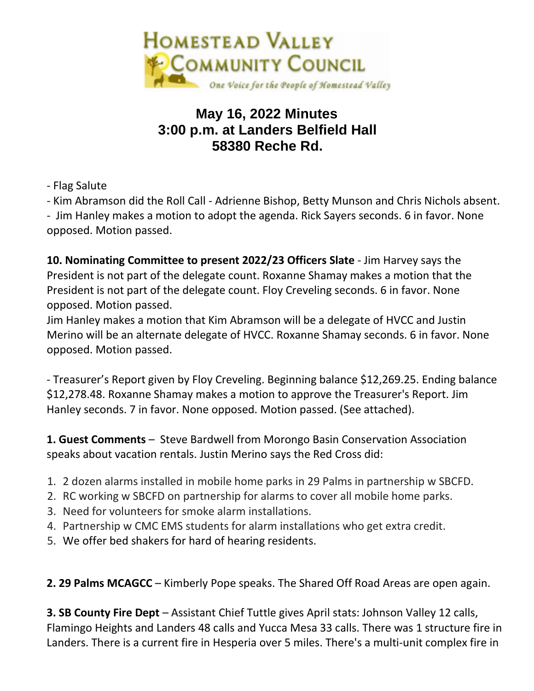

# **May 16, 2022 Minutes 3:00 p.m. at Landers Belfield Hall 58380 Reche Rd.**

- Flag Salute

- Kim Abramson did the Roll Call - Adrienne Bishop, Betty Munson and Chris Nichols absent.

- Jim Hanley makes a motion to adopt the agenda. Rick Sayers seconds. 6 in favor. None opposed. Motion passed.

**10. Nominating Committee to present 2022/23 Officers Slate** - Jim Harvey says the President is not part of the delegate count. Roxanne Shamay makes a motion that the President is not part of the delegate count. Floy Creveling seconds. 6 in favor. None opposed. Motion passed.

Jim Hanley makes a motion that Kim Abramson will be a delegate of HVCC and Justin Merino will be an alternate delegate of HVCC. Roxanne Shamay seconds. 6 in favor. None opposed. Motion passed.

- Treasurer's Report given by Floy Creveling. Beginning balance \$12,269.25. Ending balance \$12,278.48. Roxanne Shamay makes a motion to approve the Treasurer's Report. Jim Hanley seconds. 7 in favor. None opposed. Motion passed. (See attached).

**1. Guest Comments** – Steve Bardwell from Morongo Basin Conservation Association speaks about vacation rentals. Justin Merino says the Red Cross did:

- 1. 2 dozen alarms installed in mobile home parks in 29 Palms in partnership w SBCFD.
- 2. RC working w SBCFD on partnership for alarms to cover all mobile home parks.
- 3. Need for volunteers for smoke alarm installations.
- 4. Partnership w CMC EMS students for alarm installations who get extra credit.
- 5. We offer bed shakers for hard of hearing residents.

**2. 29 Palms MCAGCC** – Kimberly Pope speaks. The Shared Off Road Areas are open again.

**3. SB County Fire Dept** – Assistant Chief Tuttle gives April stats: Johnson Valley 12 calls, Flamingo Heights and Landers 48 calls and Yucca Mesa 33 calls. There was 1 structure fire in Landers. There is a current fire in Hesperia over 5 miles. There's a multi-unit complex fire in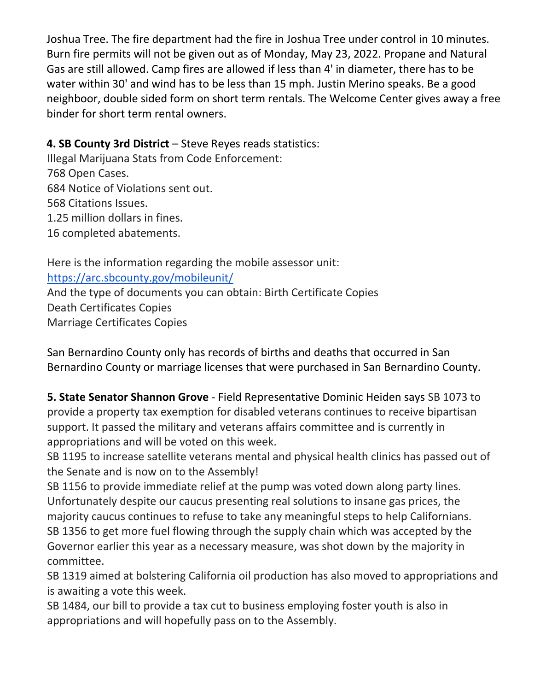Joshua Tree. The fire department had the fire in Joshua Tree under control in 10 minutes. Burn fire permits will not be given out as of Monday, May 23, 2022. Propane and Natural Gas are still allowed. Camp fires are allowed if less than 4' in diameter, there has to be water within 30' and wind has to be less than 15 mph. Justin Merino speaks. Be a good neighboor, double sided form on short term rentals. The Welcome Center gives away a free binder for short term rental owners.

### **4. SB County 3rd District** – Steve Reyes reads statistics:

Illegal Marijuana Stats from Code Enforcement: 768 Open Cases. 684 Notice of Violations sent out. 568 Citations Issues. 1.25 million dollars in fines. 16 completed abatements.

Here is the information regarding the mobile assessor unit: <https://arc.sbcounty.gov/mobileunit/> And the type of documents you can obtain: Birth Certificate Copies Death Certificates Copies Marriage Certificates Copies

San Bernardino County only has records of births and deaths that occurred in San Bernardino County or marriage licenses that were purchased in San Bernardino County.

**5. State Senator Shannon Grove** - Field Representative Dominic Heiden says SB 1073 to provide a property tax exemption for disabled veterans continues to receive bipartisan support. It passed the military and veterans affairs committee and is currently in appropriations and will be voted on this week.

SB 1195 to increase satellite veterans mental and physical health clinics has passed out of the Senate and is now on to the Assembly!

SB 1156 to provide immediate relief at the pump was voted down along party lines. Unfortunately despite our caucus presenting real solutions to insane gas prices, the majority caucus continues to refuse to take any meaningful steps to help Californians. SB 1356 to get more fuel flowing through the supply chain which was accepted by the Governor earlier this year as a necessary measure, was shot down by the majority in committee.

SB 1319 aimed at bolstering California oil production has also moved to appropriations and is awaiting a vote this week.

SB 1484, our bill to provide a tax cut to business employing foster youth is also in appropriations and will hopefully pass on to the Assembly.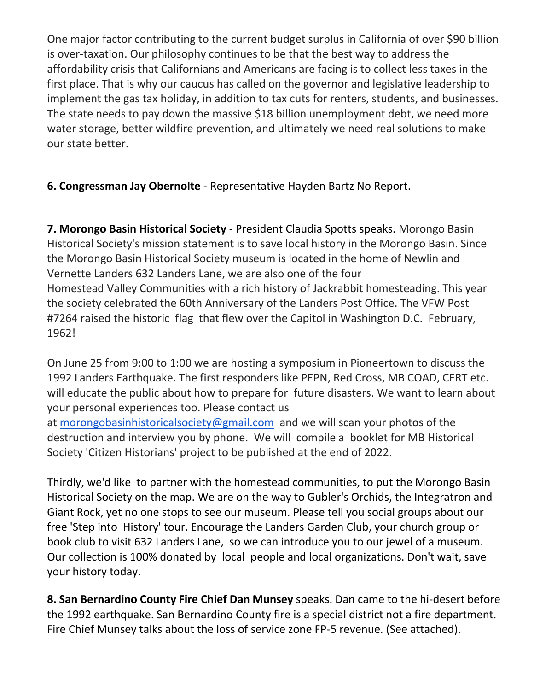One major factor contributing to the current budget surplus in California of over \$90 billion is over-taxation. Our philosophy continues to be that the best way to address the affordability crisis that Californians and Americans are facing is to collect less taxes in the first place. That is why our caucus has called on the governor and legislative leadership to implement the gas tax holiday, in addition to tax cuts for renters, students, and businesses. The state needs to pay down the massive \$18 billion unemployment debt, we need more water storage, better wildfire prevention, and ultimately we need real solutions to make our state better.

**6. Congressman Jay Obernolte** - Representative Hayden Bartz No Report.

**7. Morongo Basin Historical Society** - President Claudia Spotts speaks. Morongo Basin Historical Society's mission statement is to save local history in the Morongo Basin. Since the Morongo Basin Historical Society museum is located in the home of Newlin and Vernette Landers 632 Landers Lane, we are also one of the four Homestead Valley Communities with a rich history of Jackrabbit homesteading. This year the society celebrated the 60th Anniversary of the Landers Post Office. The VFW Post #7264 raised the historic flag that flew over the Capitol in Washington D.C. February, 1962!

On June 25 from 9:00 to 1:00 we are hosting a symposium in Pioneertown to discuss the 1992 Landers Earthquake. The first responders like PEPN, Red Cross, MB COAD, CERT etc. will educate the public about how to prepare for future disasters. We want to learn about your personal experiences too. Please contact us

at [morongobasinhistoricalsociety@gmail.com](mailto:morongobasinhistoricalsociety@gmail.com) and we will scan your photos of the destruction and interview you by phone. We will compile a booklet for MB Historical Society 'Citizen Historians' project to be published at the end of 2022.

Thirdly, we'd like to partner with the homestead communities, to put the Morongo Basin Historical Society on the map. We are on the way to Gubler's Orchids, the Integratron and Giant Rock, yet no one stops to see our museum. Please tell you social groups about our free 'Step into History' tour. Encourage the Landers Garden Club, your church group or book club to visit 632 Landers Lane, so we can introduce you to our jewel of a museum. Our collection is 100% donated by local people and local organizations. Don't wait, save your history today.

**8. San Bernardino County Fire Chief Dan Munsey** speaks. Dan came to the hi-desert before the 1992 earthquake. San Bernardino County fire is a special district not a fire department. Fire Chief Munsey talks about the loss of service zone FP-5 revenue. (See attached).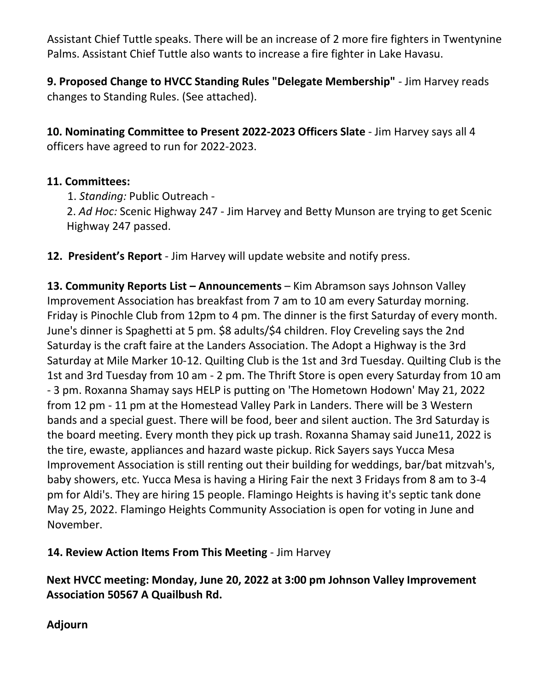Assistant Chief Tuttle speaks. There will be an increase of 2 more fire fighters in Twentynine Palms. Assistant Chief Tuttle also wants to increase a fire fighter in Lake Havasu.

**9. Proposed Change to HVCC Standing Rules "Delegate Membership"** - Jim Harvey reads changes to Standing Rules. (See attached).

**10. Nominating Committee to Present 2022-2023 Officers Slate** - Jim Harvey says all 4 officers have agreed to run for 2022-2023.

### **11. Committees:**

1. *Standing:* Public Outreach -

2. *Ad Hoc:* Scenic Highway 247 - Jim Harvey and Betty Munson are trying to get Scenic Highway 247 passed.

**12. President's Report** - Jim Harvey will update website and notify press.

**13. Community Reports List – Announcements** – Kim Abramson says Johnson Valley Improvement Association has breakfast from 7 am to 10 am every Saturday morning. Friday is Pinochle Club from 12pm to 4 pm. The dinner is the first Saturday of every month. June's dinner is Spaghetti at 5 pm. \$8 adults/\$4 children. Floy Creveling says the 2nd Saturday is the craft faire at the Landers Association. The Adopt a Highway is the 3rd Saturday at Mile Marker 10-12. Quilting Club is the 1st and 3rd Tuesday. Quilting Club is the 1st and 3rd Tuesday from 10 am - 2 pm. The Thrift Store is open every Saturday from 10 am - 3 pm. Roxanna Shamay says HELP is putting on 'The Hometown Hodown' May 21, 2022 from 12 pm - 11 pm at the Homestead Valley Park in Landers. There will be 3 Western bands and a special guest. There will be food, beer and silent auction. The 3rd Saturday is the board meeting. Every month they pick up trash. Roxanna Shamay said June11, 2022 is the tire, ewaste, appliances and hazard waste pickup. Rick Sayers says Yucca Mesa Improvement Association is still renting out their building for weddings, bar/bat mitzvah's, baby showers, etc. Yucca Mesa is having a Hiring Fair the next 3 Fridays from 8 am to 3-4 pm for Aldi's. They are hiring 15 people. Flamingo Heights is having it's septic tank done May 25, 2022. Flamingo Heights Community Association is open for voting in June and November.

**14. Review Action Items From This Meeting** - Jim Harvey

**Next HVCC meeting: Monday, June 20, 2022 at 3:00 pm Johnson Valley Improvement Association 50567 A Quailbush Rd.**

**Adjourn**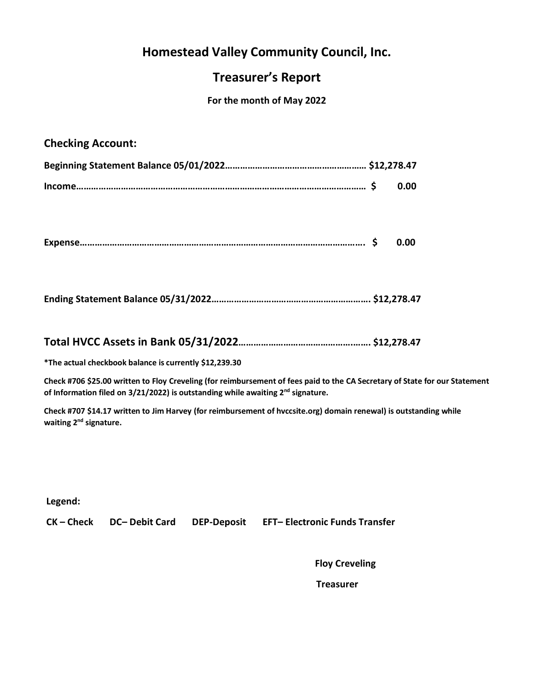## **Homestead Valley Community Council, Inc.**

### **Treasurer's Report**

### **For the month of May 2022**

### **Checking Account:**

|  | 0.00 |
|--|------|

|--|--|--|

|--|--|

### **Total HVCC Assets in Bank 05/31/2022……………………………………….……. \$12,278.47**

**\*The actual checkbook balance is currently \$12,239.30**

**Check #706 \$25.00 written to Floy Creveling (for reimbursement of fees paid to the CA Secretary of State for our Statement of Information filed on 3/21/2022) is outstanding while awaiting 2nd signature.**

**Check #707 \$14.17 written to Jim Harvey (for reimbursement of hvccsite.org) domain renewal) is outstanding while waiting 2nd signature.**

**Legend:**

**CK – Check DC– Debit Card DEP-Deposit EFT– Electronic Funds Transfer** 

**Floy Creveling**

 **Treasurer**